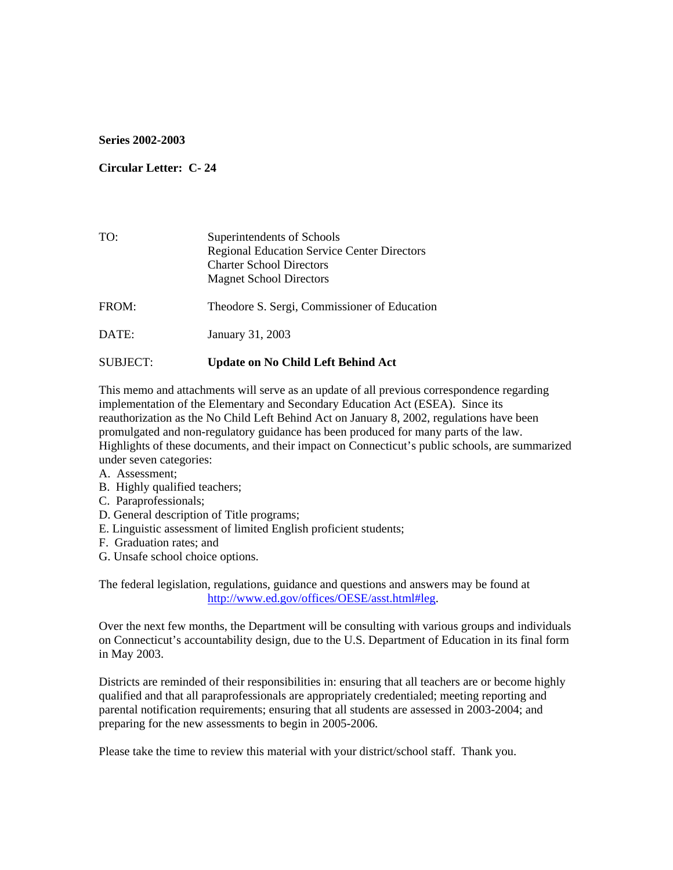#### **Series 2002-2003**

#### **Circular Letter: C- 24**

| TO:             | Superintendents of Schools<br><b>Regional Education Service Center Directors</b><br><b>Charter School Directors</b><br><b>Magnet School Directors</b> |
|-----------------|-------------------------------------------------------------------------------------------------------------------------------------------------------|
| FROM:           | Theodore S. Sergi, Commissioner of Education                                                                                                          |
| DATE:           | January 31, 2003                                                                                                                                      |
| <b>SUBJECT:</b> | <b>Update on No Child Left Behind Act</b>                                                                                                             |

This memo and attachments will serve as an update of all previous correspondence regarding implementation of the Elementary and Secondary Education Act (ESEA). Since its reauthorization as the No Child Left Behind Act on January 8, 2002, regulations have been promulgated and non-regulatory guidance has been produced for many parts of the law. Highlights of these documents, and their impact on Connecticut's public schools, are summarized under seven categories:

- A. Assessment;
- B. Highly qualified teachers;
- C. Paraprofessionals;
- D. General description of Title programs;
- E. Linguistic assessment of limited English proficient students;
- F. Graduation rates; and
- G. Unsafe school choice options.

The federal legislation, regulations, guidance and questions and answers may be found at [http://www.ed.gov/offices/OESE/asst.html#leg](http://www.ed.gov/offices/OESE/asst.html).

Over the next few months, the Department will be consulting with various groups and individuals on Connecticut's accountability design, due to the U.S. Department of Education in its final form in May 2003.

Districts are reminded of their responsibilities in: ensuring that all teachers are or become highly qualified and that all paraprofessionals are appropriately credentialed; meeting reporting and parental notification requirements; ensuring that all students are assessed in 2003-2004; and preparing for the new assessments to begin in 2005-2006.

Please take the time to review this material with your district/school staff. Thank you.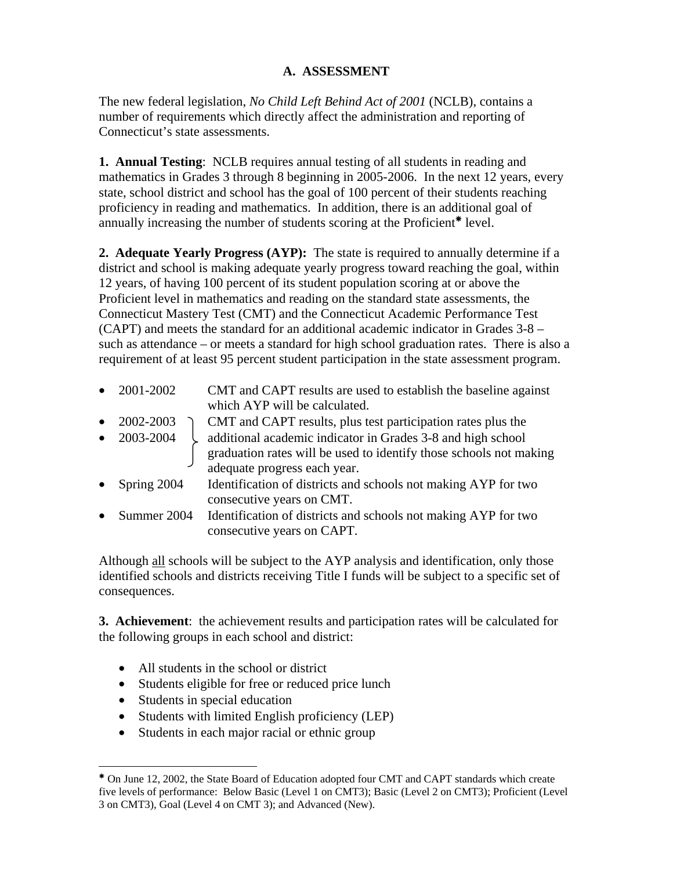# **A. ASSESSMENT**

The new federal legislation, *No Child Left Behind Act of 2001* (NCLB), contains a number of requirements which directly affect the administration and reporting of Connecticut's state assessments.

**1. Annual Testing**: NCLB requires annual testing of all students in reading and mathematics in Grades 3 through 8 beginning in 2005-2006. In the next 12 years, every state, school district and school has the goal of 100 percent of their students reaching proficiency in reading and mathematics. In addition, there is an additional goal of annually increasing the number of students scoring at the Proficient\* level.

**2. Adequate Yearly Progress (AYP):** The state is required to annually determine if a district and school is making adequate yearly progress toward reaching the goal, within 12 years, of having 100 percent of its student population scoring at or above the Proficient level in mathematics and reading on the standard state assessments, the Connecticut Mastery Test (CMT) and the Connecticut Academic Performance Test (CAPT) and meets the standard for an additional academic indicator in Grades 3-8 – such as attendance – or meets a standard for high school graduation rates. There is also a requirement of at least 95 percent student participation in the state assessment program.

|           | $\bullet$ 2001-2002 | CMT and CAPT results are used to establish the baseline against<br>which AYP will be calculated.                                                                  |
|-----------|---------------------|-------------------------------------------------------------------------------------------------------------------------------------------------------------------|
| $\bullet$ | 2002-2003           | CMT and CAPT results, plus test participation rates plus the                                                                                                      |
|           | $\bullet$ 2003-2004 | additional academic indicator in Grades 3-8 and high school<br>graduation rates will be used to identify those schools not making<br>adequate progress each year. |
| $\bullet$ | Spring 2004         | Identification of districts and schools not making AYP for two<br>consecutive years on CMT.                                                                       |
| $\bullet$ | Summer 2004         | Identification of districts and schools not making AYP for two<br>consecutive years on CAPT.                                                                      |

Although all schools will be subject to the AYP analysis and identification, only those identified schools and districts receiving Title I funds will be subject to a specific set of consequences.

**3. Achievement**: the achievement results and participation rates will be calculated for the following groups in each school and district:

- All students in the school or district
- Students eligible for free or reduced price lunch
- Students in special education
- Students with limited English proficiency (LEP)
- Students in each major racial or ethnic group

<span id="page-1-0"></span><sup>1</sup> <sup>Å</sup> On June 12, 2002, the State Board of Education adopted four CMT and CAPT standards which create five levels of performance: Below Basic (Level 1 on CMT3); Basic (Level 2 on CMT3); Proficient (Level 3 on CMT3), Goal (Level 4 on CMT 3); and Advanced (New).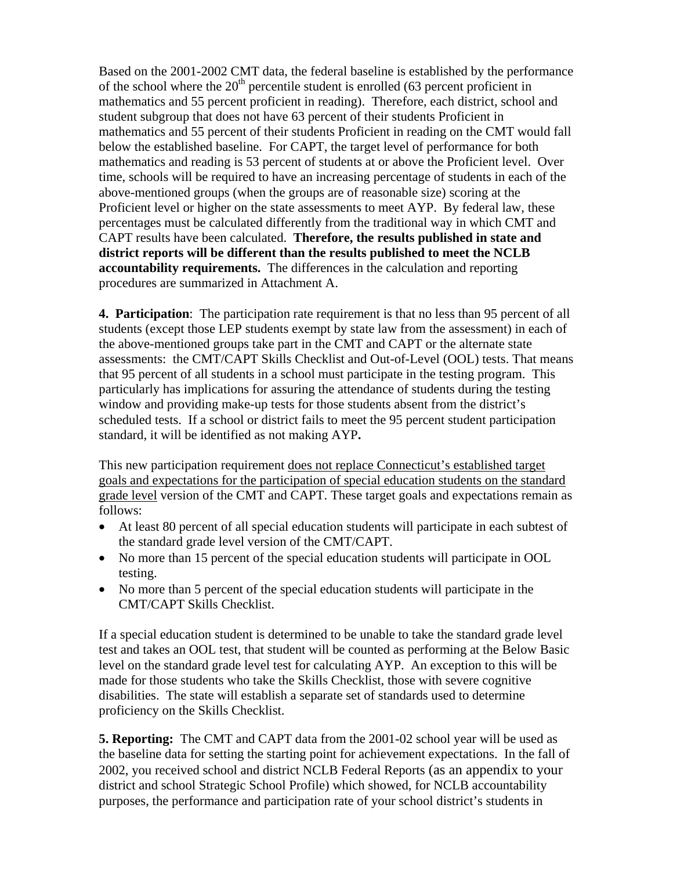Based on the 2001-2002 CMT data, the federal baseline is established by the performance of the school where the  $20<sup>th</sup>$  percentile student is enrolled (63 percent proficient in mathematics and 55 percent proficient in reading). Therefore, each district, school and student subgroup that does not have 63 percent of their students Proficient in mathematics and 55 percent of their students Proficient in reading on the CMT would fall below the established baseline. For CAPT, the target level of performance for both mathematics and reading is 53 percent of students at or above the Proficient level. Over time, schools will be required to have an increasing percentage of students in each of the above-mentioned groups (when the groups are of reasonable size) scoring at the Proficient level or higher on the state assessments to meet AYP. By federal law, these percentages must be calculated differently from the traditional way in which CMT and CAPT results have been calculated. **Therefore, the results published in state and district reports will be different than the results published to meet the NCLB accountability requirements.** The differences in the calculation and reporting procedures are summarized in Attachment A.

**4. Participation**: The participation rate requirement is that no less than 95 percent of all students (except those LEP students exempt by state law from the assessment) in each of the above-mentioned groups take part in the CMT and CAPT or the alternate state assessments: the CMT/CAPT Skills Checklist and Out-of-Level (OOL) tests. That means that 95 percent of all students in a school must participate in the testing program. This particularly has implications for assuring the attendance of students during the testing window and providing make-up tests for those students absent from the district's scheduled tests. If a school or district fails to meet the 95 percent student participation standard, it will be identified as not making AYP**.** 

This new participation requirement does not replace Connecticut's established target goals and expectations for the participation of special education students on the standard grade level version of the CMT and CAPT. These target goals and expectations remain as follows:

- At least 80 percent of all special education students will participate in each subtest of the standard grade level version of the CMT/CAPT.
- No more than 15 percent of the special education students will participate in OOL testing.
- No more than 5 percent of the special education students will participate in the CMT/CAPT Skills Checklist.

If a special education student is determined to be unable to take the standard grade level test and takes an OOL test, that student will be counted as performing at the Below Basic level on the standard grade level test for calculating AYP. An exception to this will be made for those students who take the Skills Checklist, those with severe cognitive disabilities. The state will establish a separate set of standards used to determine proficiency on the Skills Checklist.

**5. Reporting:** The CMT and CAPT data from the 2001-02 school year will be used as the baseline data for setting the starting point for achievement expectations. In the fall of 2002, you received school and district NCLB Federal Reports (as an appendix to your district and school Strategic School Profile) which showed, for NCLB accountability purposes, the performance and participation rate of your school district's students in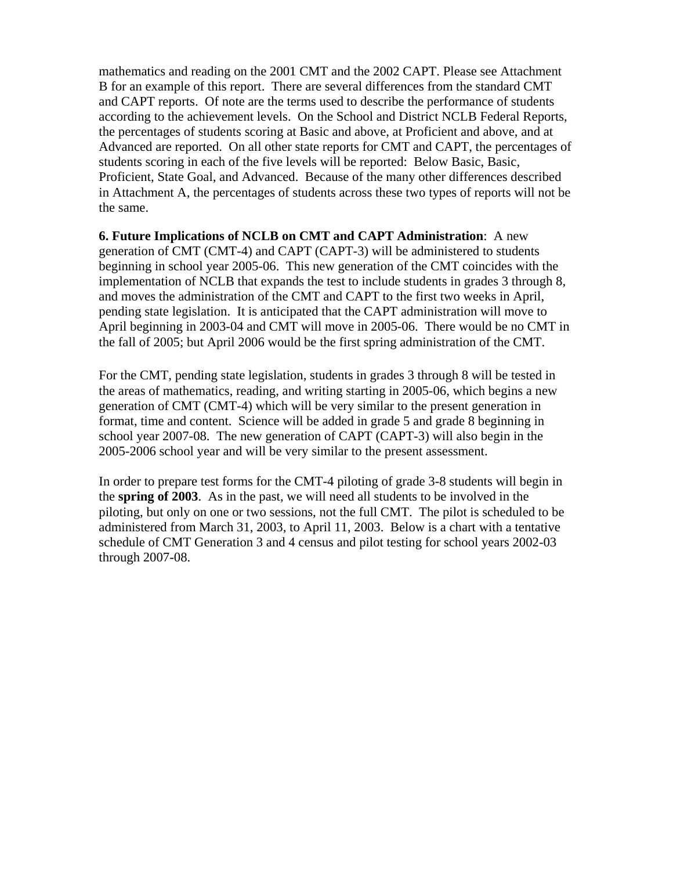mathematics and reading on the 2001 CMT and the 2002 CAPT. Please see Attachment B for an example of this report. There are several differences from the standard CMT and CAPT reports. Of note are the terms used to describe the performance of students according to the achievement levels. On the School and District NCLB Federal Reports, the percentages of students scoring at Basic and above, at Proficient and above, and at Advanced are reported. On all other state reports for CMT and CAPT, the percentages of students scoring in each of the five levels will be reported: Below Basic, Basic, Proficient, State Goal, and Advanced. Because of the many other differences described in Attachment A, the percentages of students across these two types of reports will not be the same.

**6. Future Implications of NCLB on CMT and CAPT Administration**: A new generation of CMT (CMT-4) and CAPT (CAPT-3) will be administered to students beginning in school year 2005-06. This new generation of the CMT coincides with the implementation of NCLB that expands the test to include students in grades 3 through 8, and moves the administration of the CMT and CAPT to the first two weeks in April, pending state legislation. It is anticipated that the CAPT administration will move to April beginning in 2003-04 and CMT will move in 2005-06. There would be no CMT in the fall of 2005; but April 2006 would be the first spring administration of the CMT.

For the CMT, pending state legislation, students in grades 3 through 8 will be tested in the areas of mathematics, reading, and writing starting in 2005-06, which begins a new generation of CMT (CMT-4) which will be very similar to the present generation in format, time and content. Science will be added in grade 5 and grade 8 beginning in school year 2007-08. The new generation of CAPT (CAPT-3) will also begin in the 2005-2006 school year and will be very similar to the present assessment.

In order to prepare test forms for the CMT-4 piloting of grade 3-8 students will begin in the **spring of 2003**. As in the past, we will need all students to be involved in the piloting, but only on one or two sessions, not the full CMT. The pilot is scheduled to be administered from March 31, 2003, to April 11, 2003. Below is a chart with a tentative schedule of CMT Generation 3 and 4 census and pilot testing for school years 2002-03 through 2007-08.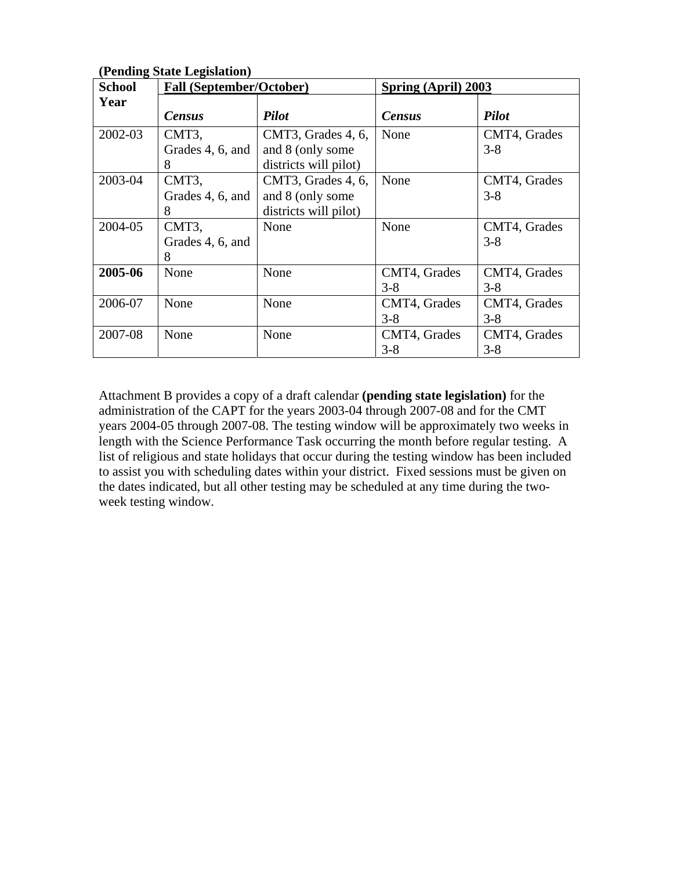| 0<br><b>School</b> | <b>Fall (September/October)</b> |                       | Spring (April) 2003 |              |
|--------------------|---------------------------------|-----------------------|---------------------|--------------|
| Year               |                                 |                       |                     |              |
|                    | <b>Census</b>                   | <b>Pilot</b>          | <b>Census</b>       | <b>Pilot</b> |
| 2002-03            | CMT3,                           | CMT3, Grades 4, 6,    | None                | CMT4, Grades |
|                    | Grades 4, 6, and                | and 8 (only some)     |                     | $3 - 8$      |
|                    | 8                               | districts will pilot) |                     |              |
| 2003-04            | CMT3,                           | CMT3, Grades 4, 6,    | None                | CMT4, Grades |
|                    | Grades 4, 6, and                | and 8 (only some      |                     | $3 - 8$      |
|                    | 8                               | districts will pilot) |                     |              |
| 2004-05            | CMT3,                           | None                  | None                | CMT4, Grades |
|                    | Grades 4, 6, and                |                       |                     | $3 - 8$      |
|                    | 8                               |                       |                     |              |
| 2005-06            | None                            | None                  | CMT4, Grades        | CMT4, Grades |
|                    |                                 |                       | $3 - 8$             | $3 - 8$      |
| 2006-07            | None                            | None                  | CMT4, Grades        | CMT4, Grades |
|                    |                                 |                       | $3-8$               | $3 - 8$      |
| 2007-08            | None                            | None                  | CMT4, Grades        | CMT4, Grades |
|                    |                                 |                       | $3 - 8$             | $3 - 8$      |

**(Pending State Legislation)** 

Attachment B provides a copy of a draft calendar **(pending state legislation)** for the administration of the CAPT for the years 2003-04 through 2007-08 and for the CMT years 2004-05 through 2007-08. The testing window will be approximately two weeks in length with the Science Performance Task occurring the month before regular testing. A list of religious and state holidays that occur during the testing window has been included to assist you with scheduling dates within your district. Fixed sessions must be given on the dates indicated, but all other testing may be scheduled at any time during the twoweek testing window.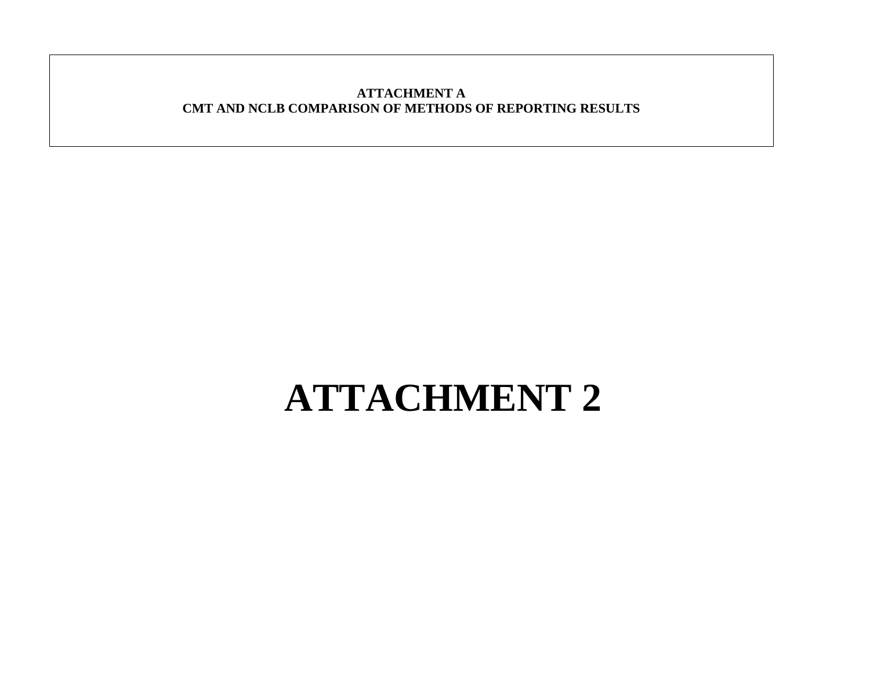#### **ATTACHMENT A CMT AND NCLB COMPARISON OF METHODS OF REPORTING RESULTS**

# **ATTACHMENT 2**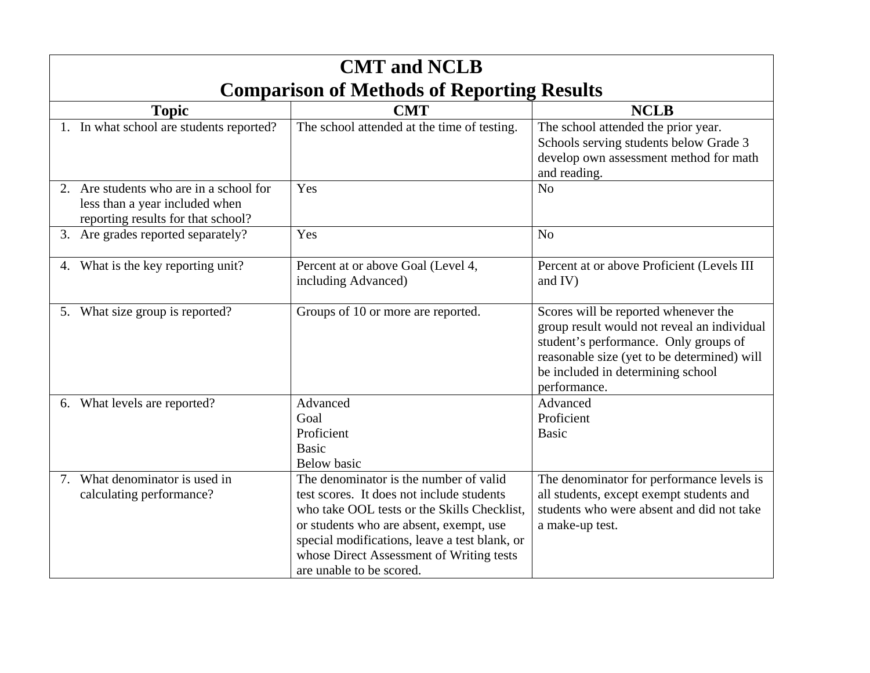| <b>CMT</b> and <b>NCLB</b>                                                                                      |                                                                                                                                                                                                                                                                                                        |                                                                                                                                                                                                                                  |  |  |  |
|-----------------------------------------------------------------------------------------------------------------|--------------------------------------------------------------------------------------------------------------------------------------------------------------------------------------------------------------------------------------------------------------------------------------------------------|----------------------------------------------------------------------------------------------------------------------------------------------------------------------------------------------------------------------------------|--|--|--|
| <b>Comparison of Methods of Reporting Results</b>                                                               |                                                                                                                                                                                                                                                                                                        |                                                                                                                                                                                                                                  |  |  |  |
| <b>Topic</b>                                                                                                    | <b>CMT</b>                                                                                                                                                                                                                                                                                             | <b>NCLB</b>                                                                                                                                                                                                                      |  |  |  |
| 1. In what school are students reported?                                                                        | The school attended at the time of testing.                                                                                                                                                                                                                                                            | The school attended the prior year.<br>Schools serving students below Grade 3<br>develop own assessment method for math<br>and reading.                                                                                          |  |  |  |
| 2. Are students who are in a school for<br>less than a year included when<br>reporting results for that school? | Yes                                                                                                                                                                                                                                                                                                    | N <sub>o</sub>                                                                                                                                                                                                                   |  |  |  |
| 3. Are grades reported separately?                                                                              | Yes                                                                                                                                                                                                                                                                                                    | N <sub>o</sub>                                                                                                                                                                                                                   |  |  |  |
| 4. What is the key reporting unit?                                                                              | Percent at or above Goal (Level 4,<br>including Advanced)                                                                                                                                                                                                                                              | Percent at or above Proficient (Levels III<br>and IV)                                                                                                                                                                            |  |  |  |
| 5. What size group is reported?                                                                                 | Groups of 10 or more are reported.                                                                                                                                                                                                                                                                     | Scores will be reported whenever the<br>group result would not reveal an individual<br>student's performance. Only groups of<br>reasonable size (yet to be determined) will<br>be included in determining school<br>performance. |  |  |  |
| 6. What levels are reported?                                                                                    | Advanced<br>Goal<br>Proficient<br><b>Basic</b><br><b>Below</b> basic                                                                                                                                                                                                                                   | Advanced<br>Proficient<br><b>Basic</b>                                                                                                                                                                                           |  |  |  |
| 7. What denominator is used in<br>calculating performance?                                                      | The denominator is the number of valid<br>test scores. It does not include students<br>who take OOL tests or the Skills Checklist,<br>or students who are absent, exempt, use<br>special modifications, leave a test blank, or<br>whose Direct Assessment of Writing tests<br>are unable to be scored. | The denominator for performance levels is<br>all students, except exempt students and<br>students who were absent and did not take<br>a make-up test.                                                                            |  |  |  |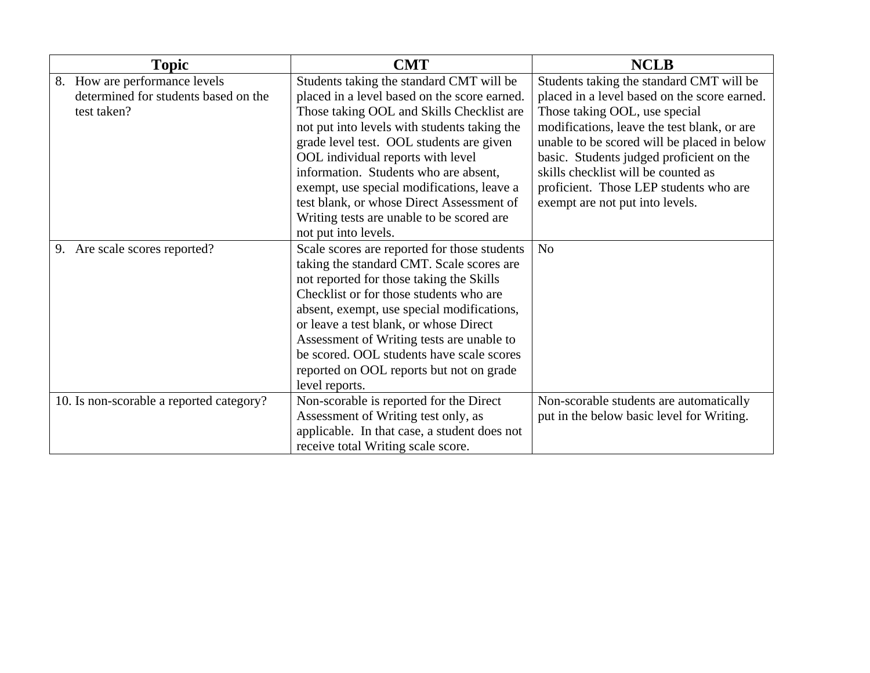|                               | <b>Topic</b>                             | <b>CMT</b>                                   | <b>NCLB</b>                                  |
|-------------------------------|------------------------------------------|----------------------------------------------|----------------------------------------------|
|                               | 8. How are performance levels            | Students taking the standard CMT will be     | Students taking the standard CMT will be     |
|                               | determined for students based on the     | placed in a level based on the score earned. | placed in a level based on the score earned. |
|                               | test taken?                              | Those taking OOL and Skills Checklist are    | Those taking OOL, use special                |
|                               |                                          | not put into levels with students taking the | modifications, leave the test blank, or are  |
|                               |                                          | grade level test. OOL students are given     | unable to be scored will be placed in below  |
|                               |                                          | OOL individual reports with level            | basic. Students judged proficient on the     |
|                               |                                          | information. Students who are absent,        | skills checklist will be counted as          |
|                               |                                          | exempt, use special modifications, leave a   | proficient. Those LEP students who are       |
|                               |                                          | test blank, or whose Direct Assessment of    | exempt are not put into levels.              |
|                               |                                          | Writing tests are unable to be scored are    |                                              |
|                               |                                          | not put into levels.                         |                                              |
| 9. Are scale scores reported? |                                          | Scale scores are reported for those students | N <sub>o</sub>                               |
|                               |                                          | taking the standard CMT. Scale scores are    |                                              |
|                               |                                          | not reported for those taking the Skills     |                                              |
|                               |                                          | Checklist or for those students who are      |                                              |
|                               |                                          | absent, exempt, use special modifications,   |                                              |
|                               |                                          | or leave a test blank, or whose Direct       |                                              |
|                               |                                          | Assessment of Writing tests are unable to    |                                              |
|                               |                                          | be scored. OOL students have scale scores    |                                              |
|                               |                                          | reported on OOL reports but not on grade     |                                              |
|                               |                                          | level reports.                               |                                              |
|                               | 10. Is non-scorable a reported category? | Non-scorable is reported for the Direct      | Non-scorable students are automatically      |
|                               |                                          | Assessment of Writing test only, as          | put in the below basic level for Writing.    |
|                               |                                          | applicable. In that case, a student does not |                                              |
|                               |                                          | receive total Writing scale score.           |                                              |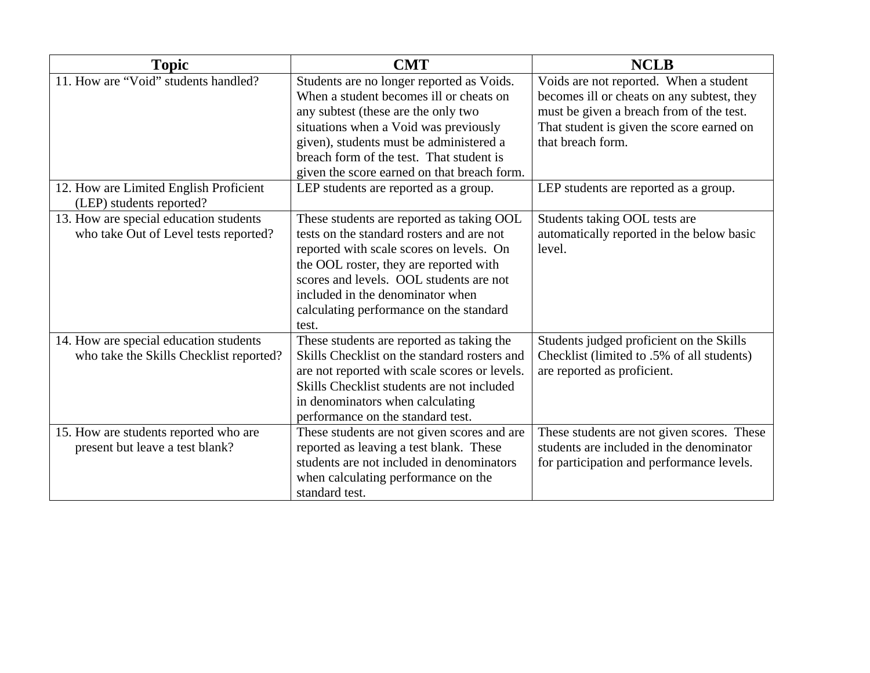| <b>Topic</b>                                                                      | <b>CMT</b>                                                                                                                                                                                                                                                                                                      | <b>NCLB</b>                                                                                                                                                                                        |
|-----------------------------------------------------------------------------------|-----------------------------------------------------------------------------------------------------------------------------------------------------------------------------------------------------------------------------------------------------------------------------------------------------------------|----------------------------------------------------------------------------------------------------------------------------------------------------------------------------------------------------|
| 11. How are "Void" students handled?                                              | Students are no longer reported as Voids.<br>When a student becomes ill or cheats on<br>any subtest (these are the only two<br>situations when a Void was previously<br>given), students must be administered a<br>breach form of the test. That student is<br>given the score earned on that breach form.      | Voids are not reported. When a student<br>becomes ill or cheats on any subtest, they<br>must be given a breach from of the test.<br>That student is given the score earned on<br>that breach form. |
| 12. How are Limited English Proficient<br>(LEP) students reported?                | LEP students are reported as a group.                                                                                                                                                                                                                                                                           | LEP students are reported as a group.                                                                                                                                                              |
| 13. How are special education students<br>who take Out of Level tests reported?   | These students are reported as taking OOL<br>tests on the standard rosters and are not<br>reported with scale scores on levels. On<br>the OOL roster, they are reported with<br>scores and levels. OOL students are not<br>included in the denominator when<br>calculating performance on the standard<br>test. | Students taking OOL tests are<br>automatically reported in the below basic<br>level.                                                                                                               |
| 14. How are special education students<br>who take the Skills Checklist reported? | These students are reported as taking the<br>Skills Checklist on the standard rosters and<br>are not reported with scale scores or levels.<br>Skills Checklist students are not included<br>in denominators when calculating<br>performance on the standard test.                                               | Students judged proficient on the Skills<br>Checklist (limited to .5% of all students)<br>are reported as proficient.                                                                              |
| 15. How are students reported who are<br>present but leave a test blank?          | These students are not given scores and are<br>reported as leaving a test blank. These<br>students are not included in denominators<br>when calculating performance on the<br>standard test.                                                                                                                    | These students are not given scores. These<br>students are included in the denominator<br>for participation and performance levels.                                                                |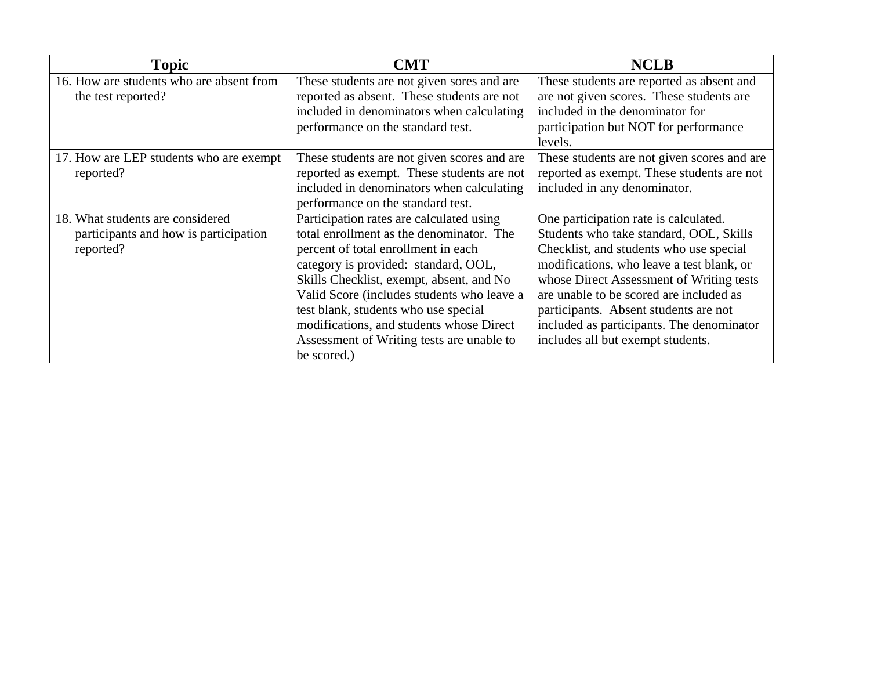| <b>Topic</b>                             | <b>CMT</b>                                  | <b>NCLB</b>                                 |
|------------------------------------------|---------------------------------------------|---------------------------------------------|
| 16. How are students who are absent from | These students are not given sores and are  | These students are reported as absent and   |
| the test reported?                       | reported as absent. These students are not  | are not given scores. These students are    |
|                                          | included in denominators when calculating   | included in the denominator for             |
|                                          | performance on the standard test.           | participation but NOT for performance       |
|                                          |                                             | levels.                                     |
| 17. How are LEP students who are exempt  | These students are not given scores and are | These students are not given scores and are |
| reported?                                | reported as exempt. These students are not  | reported as exempt. These students are not  |
|                                          | included in denominators when calculating   | included in any denominator.                |
|                                          | performance on the standard test.           |                                             |
| 18. What students are considered         | Participation rates are calculated using    | One participation rate is calculated.       |
| participants and how is participation    | total enrollment as the denominator. The    | Students who take standard, OOL, Skills     |
| reported?                                | percent of total enrollment in each         | Checklist, and students who use special     |
|                                          | category is provided: standard, OOL,        | modifications, who leave a test blank, or   |
|                                          | Skills Checklist, exempt, absent, and No    | whose Direct Assessment of Writing tests    |
|                                          | Valid Score (includes students who leave a  | are unable to be scored are included as     |
|                                          | test blank, students who use special        | participants. Absent students are not       |
|                                          | modifications, and students whose Direct    | included as participants. The denominator   |
|                                          | Assessment of Writing tests are unable to   | includes all but exempt students.           |
|                                          | be scored.)                                 |                                             |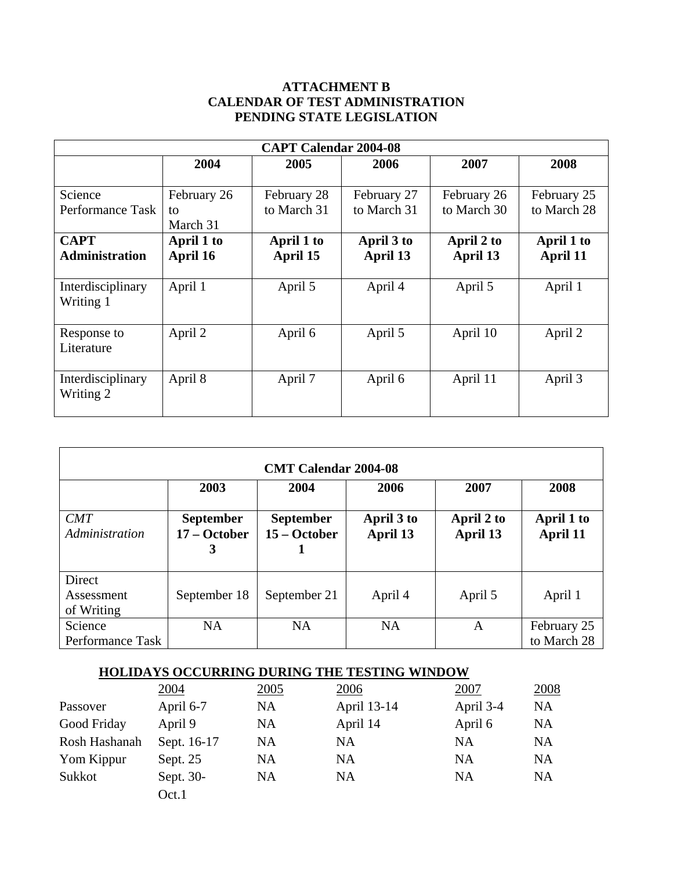# **ATTACHMENT B CALENDAR OF TEST ADMINISTRATION PENDING STATE LEGISLATION**

| <b>CAPT Calendar 2004-08</b>         |                               |                            |                            |                            |                            |
|--------------------------------------|-------------------------------|----------------------------|----------------------------|----------------------------|----------------------------|
|                                      | 2004                          | 2005                       | 2006                       | 2007                       | 2008                       |
| Science<br>Performance Task          | February 26<br>to<br>March 31 | February 28<br>to March 31 | February 27<br>to March 31 | February 26<br>to March 30 | February 25<br>to March 28 |
| <b>CAPT</b><br><b>Administration</b> | April 1 to<br>April 16        | April 1 to<br>April 15     | April 3 to<br>April 13     | April 2 to<br>April 13     | April 1 to<br>April 11     |
| Interdisciplinary<br>Writing 1       | April 1                       | April 5                    | April 4                    | April 5                    | April 1                    |
| Response to<br>Literature            | April 2                       | April 6                    | April 5                    | April 10                   | April 2                    |
| Interdisciplinary<br>Writing 2       | April 8                       | April 7                    | April 6                    | April 11                   | April 3                    |

| <b>CMT Calendar 2004-08</b>        |                                       |                                  |                        |                        |                            |
|------------------------------------|---------------------------------------|----------------------------------|------------------------|------------------------|----------------------------|
|                                    | 2003                                  | 2004                             | 2006                   | 2007                   | 2008                       |
| CMT<br>Administration              | <b>September</b><br>17 – October<br>3 | <b>September</b><br>15 – October | April 3 to<br>April 13 | April 2 to<br>April 13 | April 1 to<br>April 11     |
| Direct<br>Assessment<br>of Writing | September 18                          | September 21                     | April 4                | April 5                | April 1                    |
| Science<br>Performance Task        | <b>NA</b>                             | <b>NA</b>                        | <b>NA</b>              | A                      | February 25<br>to March 28 |

# **HOLIDAYS OCCURRING DURING THE TESTING WINDOW**

|               | 2004        | <u>2005</u> | 2006        | 2007      | 2008      |
|---------------|-------------|-------------|-------------|-----------|-----------|
| Passover      | April 6-7   | NA          | April 13-14 | April 3-4 | <b>NA</b> |
| Good Friday   | April 9     | NA          | April 14    | April 6   | NA        |
| Rosh Hashanah | Sept. 16-17 | NA          | NA          | NA        | NA        |
| Yom Kippur    | Sept. $25$  | <b>NA</b>   | <b>NA</b>   | NA        | NA        |
| Sukkot        | Sept. 30-   | <b>NA</b>   | NA          | NA        | NA        |
|               | Oct.1       |             |             |           |           |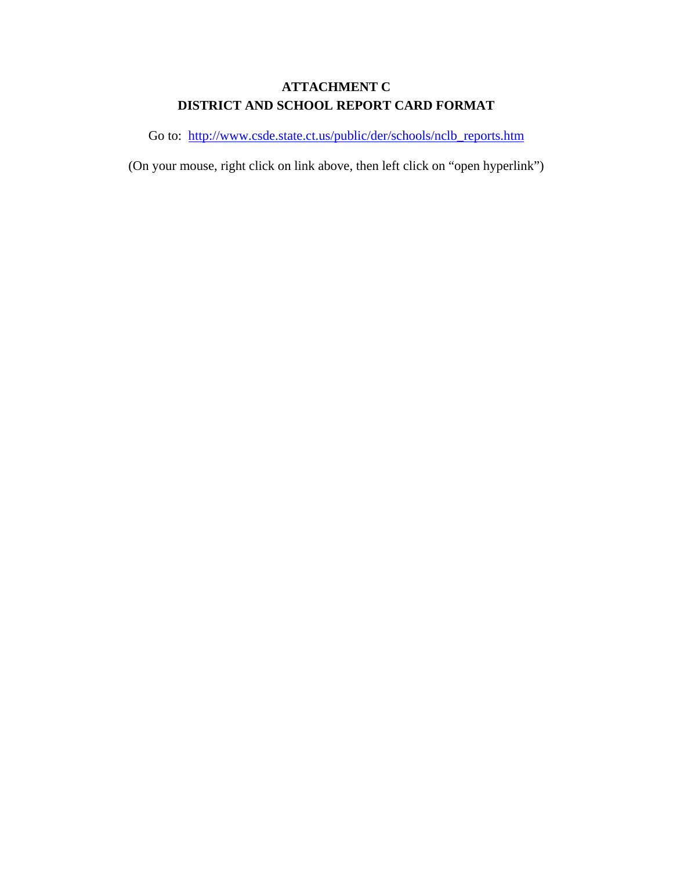# **ATTACHMENT C DISTRICT AND SCHOOL REPORT CARD FORMAT**

Go to: [http://www.csde.state.ct.us/public/der/schools/nclb\\_reports.htm](http://www.csde.state.ct.us/public/der/schools/nclb_reports.htm)

(On your mouse, right click on link above, then left click on "open hyperlink")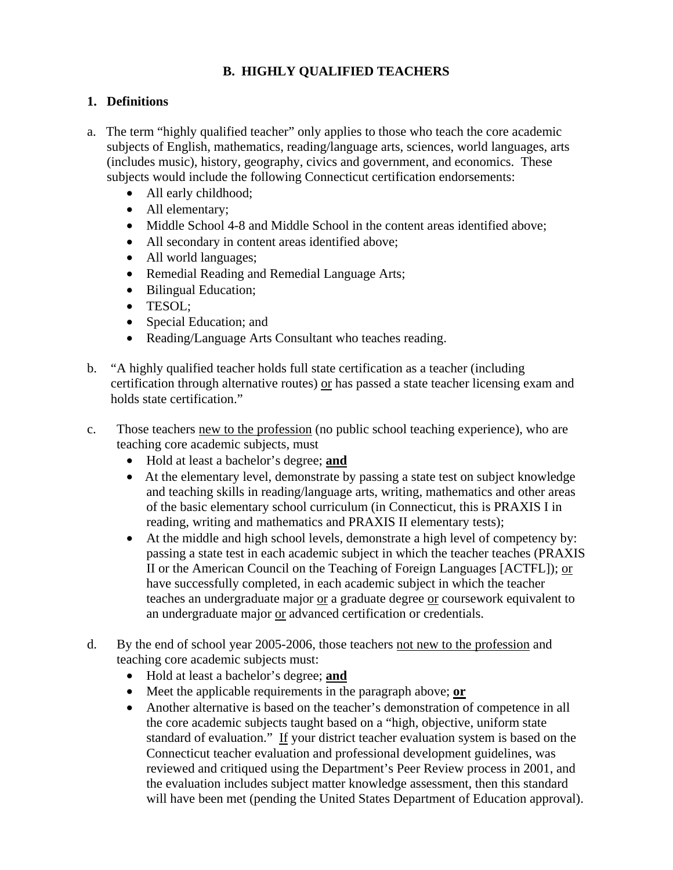# **B. HIGHLY QUALIFIED TEACHERS**

## **1. Definitions**

- a. The term "highly qualified teacher" only applies to those who teach the core academic subjects of English, mathematics, reading/language arts, sciences, world languages, arts (includes music), history, geography, civics and government, and economics. These subjects would include the following Connecticut certification endorsements:
	- All early childhood;
	- All elementary;
	- Middle School 4-8 and Middle School in the content areas identified above;
	- All secondary in content areas identified above;
	- All world languages;
	- Remedial Reading and Remedial Language Arts;
	- Bilingual Education;
	- TESOL;
	- Special Education; and
	- Reading/Language Arts Consultant who teaches reading.
- b. "A highly qualified teacher holds full state certification as a teacher (including certification through alternative routes) or has passed a state teacher licensing exam and holds state certification."
- c. Those teachers new to the profession (no public school teaching experience), who are teaching core academic subjects, must
	- Hold at least a bachelor's degree; **and**
	- At the elementary level, demonstrate by passing a state test on subject knowledge and teaching skills in reading/language arts, writing, mathematics and other areas of the basic elementary school curriculum (in Connecticut, this is PRAXIS I in reading, writing and mathematics and PRAXIS II elementary tests);
	- At the middle and high school levels, demonstrate a high level of competency by: passing a state test in each academic subject in which the teacher teaches (PRAXIS II or the American Council on the Teaching of Foreign Languages [ACTFL]); or have successfully completed, in each academic subject in which the teacher teaches an undergraduate major or a graduate degree or coursework equivalent to an undergraduate major or advanced certification or credentials.
- d. By the end of school year 2005-2006, those teachers not new to the profession and teaching core academic subjects must:
	- Hold at least a bachelor's degree; **and**
	- Meet the applicable requirements in the paragraph above; **or**
	- Another alternative is based on the teacher's demonstration of competence in all the core academic subjects taught based on a "high, objective, uniform state standard of evaluation." If your district teacher evaluation system is based on the Connecticut teacher evaluation and professional development guidelines, was reviewed and critiqued using the Department's Peer Review process in 2001, and the evaluation includes subject matter knowledge assessment, then this standard will have been met (pending the United States Department of Education approval).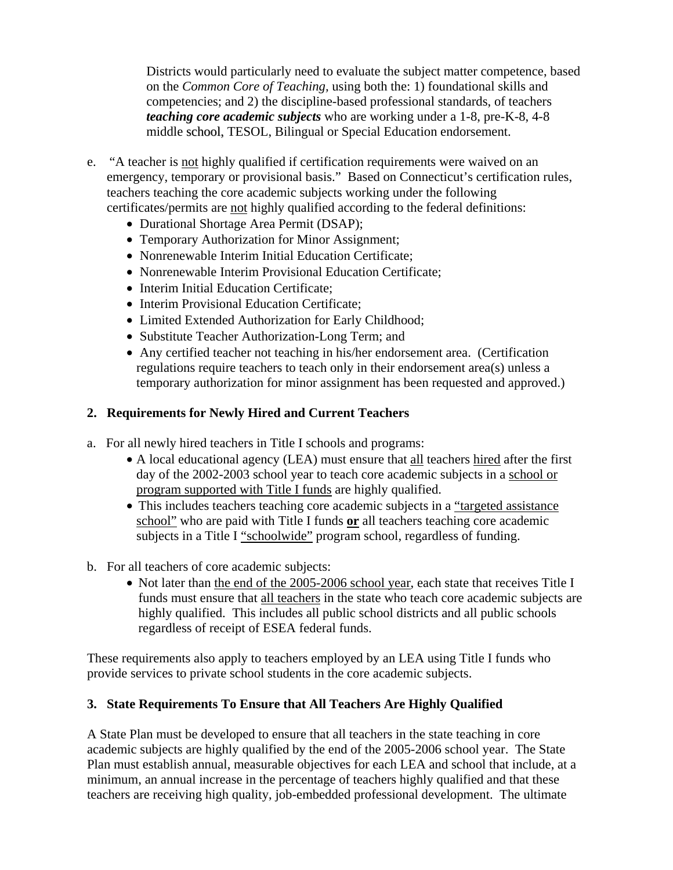Districts would particularly need to evaluate the subject matter competence, based on the *Common Core of Teaching,* using both the: 1) foundational skills and competencies; and 2) the discipline-based professional standards, of teachers *teaching core academic subjects* who are working under a 1-8, pre-K-8, 4-8 middle school, TESOL, Bilingual or Special Education endorsement.

- e. "A teacher is not highly qualified if certification requirements were waived on an emergency, temporary or provisional basis." Based on Connecticut's certification rules, teachers teaching the core academic subjects working under the following certificates/permits are not highly qualified according to the federal definitions:
	- Durational Shortage Area Permit (DSAP);
	- Temporary Authorization for Minor Assignment;
	- Nonrenewable Interim Initial Education Certificate;
	- Nonrenewable Interim Provisional Education Certificate;
	- Interim Initial Education Certificate:
	- Interim Provisional Education Certificate:
	- Limited Extended Authorization for Early Childhood;
	- Substitute Teacher Authorization-Long Term; and
	- Any certified teacher not teaching in his/her endorsement area. (Certification regulations require teachers to teach only in their endorsement area(s) unless a temporary authorization for minor assignment has been requested and approved.)

# **2. Requirements for Newly Hired and Current Teachers**

- a. For all newly hired teachers in Title I schools and programs:
	- A local educational agency (LEA) must ensure that all teachers hired after the first day of the 2002-2003 school year to teach core academic subjects in a school or program supported with Title I funds are highly qualified.
	- This includes teachers teaching core academic subjects in a "targeted assistance school" who are paid with Title I funds **or** all teachers teaching core academic subjects in a Title I "schoolwide" program school, regardless of funding.
- b. For all teachers of core academic subjects:
	- Not later than the end of the 2005-2006 school year, each state that receives Title I funds must ensure that all teachers in the state who teach core academic subjects are highly qualified. This includes all public school districts and all public schools regardless of receipt of ESEA federal funds.

These requirements also apply to teachers employed by an LEA using Title I funds who provide services to private school students in the core academic subjects.

# **3. State Requirements To Ensure that All Teachers Are Highly Qualified**

A State Plan must be developed to ensure that all teachers in the state teaching in core academic subjects are highly qualified by the end of the 2005-2006 school year. The State Plan must establish annual, measurable objectives for each LEA and school that include, at a minimum, an annual increase in the percentage of teachers highly qualified and that these teachers are receiving high quality, job-embedded professional development. The ultimate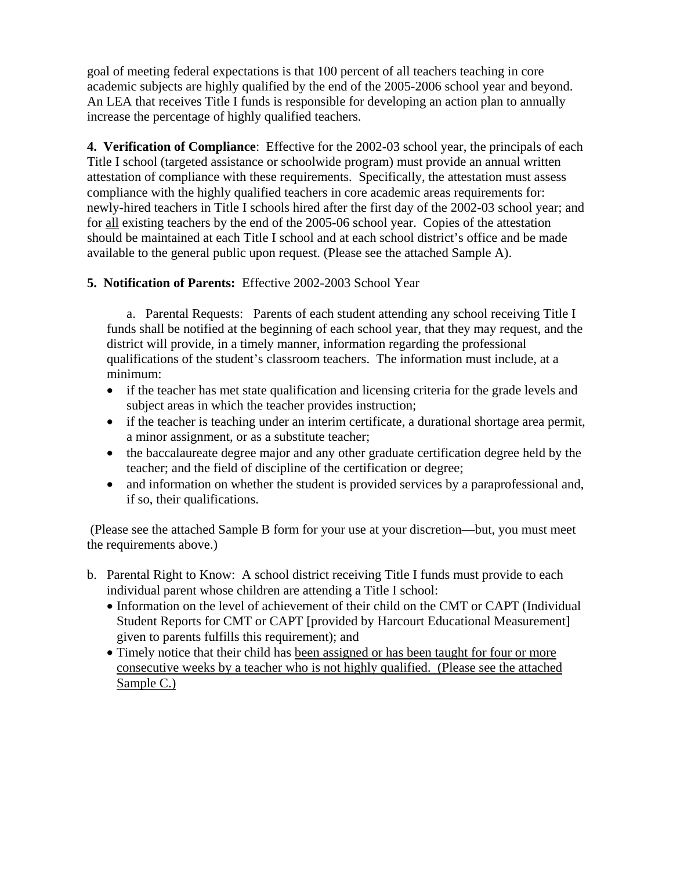goal of meeting federal expectations is that 100 percent of all teachers teaching in core academic subjects are highly qualified by the end of the 2005-2006 school year and beyond. An LEA that receives Title I funds is responsible for developing an action plan to annually increase the percentage of highly qualified teachers.

**4. Verification of Compliance**: Effective for the 2002-03 school year, the principals of each Title I school (targeted assistance or schoolwide program) must provide an annual written attestation of compliance with these requirements. Specifically, the attestation must assess compliance with the highly qualified teachers in core academic areas requirements for: newly-hired teachers in Title I schools hired after the first day of the 2002-03 school year; and for all existing teachers by the end of the 2005-06 school year. Copies of the attestation should be maintained at each Title I school and at each school district's office and be made available to the general public upon request. (Please see the attached Sample A).

# **5. Notification of Parents:** Effective 2002-2003 School Year

a. Parental Requests: Parents of each student attending any school receiving Title I funds shall be notified at the beginning of each school year, that they may request, and the district will provide, in a timely manner, information regarding the professional qualifications of the student's classroom teachers. The information must include, at a minimum:

- if the teacher has met state qualification and licensing criteria for the grade levels and subject areas in which the teacher provides instruction;
- if the teacher is teaching under an interim certificate, a durational shortage area permit, a minor assignment, or as a substitute teacher;
- the baccalaureate degree major and any other graduate certification degree held by the teacher; and the field of discipline of the certification or degree;
- and information on whether the student is provided services by a paraprofessional and, if so, their qualifications.

 (Please see the attached Sample B form for your use at your discretion—but, you must meet the requirements above.)

- b. Parental Right to Know: A school district receiving Title I funds must provide to each individual parent whose children are attending a Title I school:
	- Information on the level of achievement of their child on the CMT or CAPT (Individual Student Reports for CMT or CAPT [provided by Harcourt Educational Measurement] given to parents fulfills this requirement); and
	- Timely notice that their child has been assigned or has been taught for four or more consecutive weeks by a teacher who is not highly qualified. (Please see the attached Sample C.)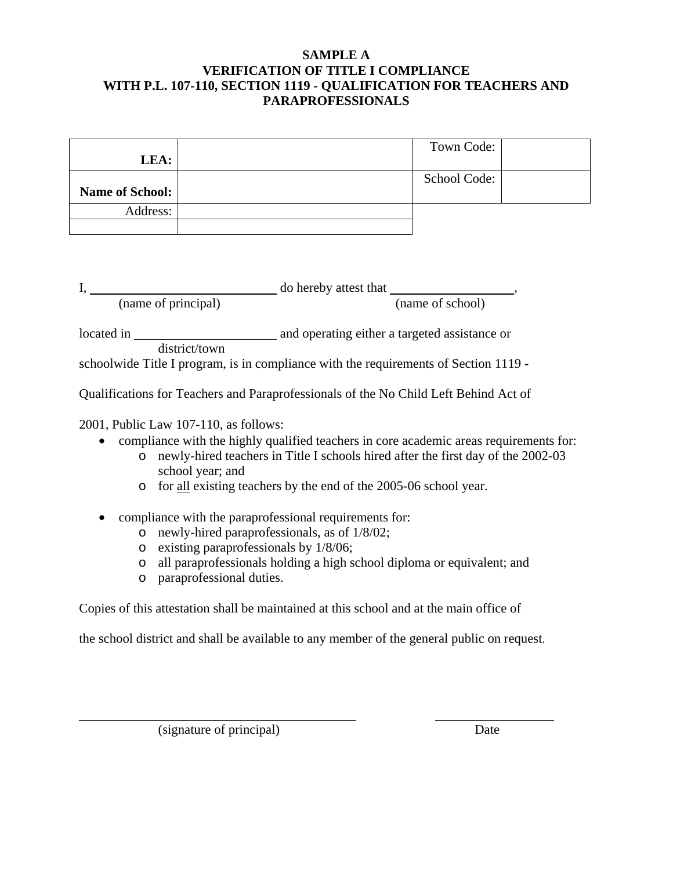## **SAMPLE A VERIFICATION OF TITLE I COMPLIANCE WITH P.L. 107-110, SECTION 1119 - QUALIFICATION FOR TEACHERS AND PARAPROFESSIONALS**

|                 | Town Code:   |  |
|-----------------|--------------|--|
| LEA:            |              |  |
|                 | School Code: |  |
| Name of School: |              |  |
| Address:        |              |  |
|                 |              |  |

|            |                     | do hereby attest that                         |
|------------|---------------------|-----------------------------------------------|
|            | (name of principal) | (name of school)                              |
| located in |                     | and operating either a targeted assistance or |
|            | district/town       |                                               |

schoolwide Title I program, is in compliance with the requirements of Section 1119 -

Qualifications for Teachers and Paraprofessionals of the No Child Left Behind Act of

2001, Public Law 107-110, as follows:

- compliance with the highly qualified teachers in core academic areas requirements for:
	- o newly-hired teachers in Title I schools hired after the first day of the 2002-03 school year; and
	- o for all existing teachers by the end of the 2005-06 school year.
- compliance with the paraprofessional requirements for:
	- o newly-hired paraprofessionals, as of 1/8/02;
	- o existing paraprofessionals by 1/8/06;
	- o all paraprofessionals holding a high school diploma or equivalent; and
	- o paraprofessional duties.

Copies of this attestation shall be maintained at this school and at the main office of

the school district and shall be available to any member of the general public on request.

(signature of principal) Date

 $\overline{a}$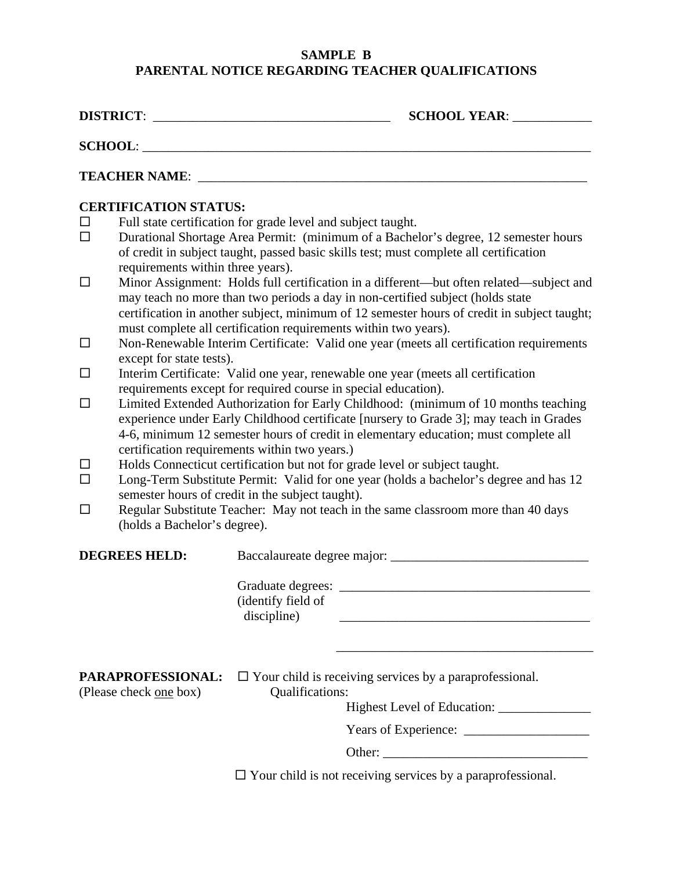# **SAMPLE B PARENTAL NOTICE REGARDING TEACHER QUALIFICATIONS**

|                                             | DISTRICT:                                                                                                                                                                                                                                                                                                                                                                                                                                                                                                                                                                                                                                                                                                                                                                                                                                                                                                                                                                                                                                                                                                               |                                                                                                                                                                                                                                                                                    | <b>SCHOOL YEAR:</b>                                                |  |
|---------------------------------------------|-------------------------------------------------------------------------------------------------------------------------------------------------------------------------------------------------------------------------------------------------------------------------------------------------------------------------------------------------------------------------------------------------------------------------------------------------------------------------------------------------------------------------------------------------------------------------------------------------------------------------------------------------------------------------------------------------------------------------------------------------------------------------------------------------------------------------------------------------------------------------------------------------------------------------------------------------------------------------------------------------------------------------------------------------------------------------------------------------------------------------|------------------------------------------------------------------------------------------------------------------------------------------------------------------------------------------------------------------------------------------------------------------------------------|--------------------------------------------------------------------|--|
|                                             | SCHOOL:                                                                                                                                                                                                                                                                                                                                                                                                                                                                                                                                                                                                                                                                                                                                                                                                                                                                                                                                                                                                                                                                                                                 |                                                                                                                                                                                                                                                                                    |                                                                    |  |
|                                             |                                                                                                                                                                                                                                                                                                                                                                                                                                                                                                                                                                                                                                                                                                                                                                                                                                                                                                                                                                                                                                                                                                                         |                                                                                                                                                                                                                                                                                    |                                                                    |  |
|                                             | <b>CERTIFICATION STATUS:</b>                                                                                                                                                                                                                                                                                                                                                                                                                                                                                                                                                                                                                                                                                                                                                                                                                                                                                                                                                                                                                                                                                            |                                                                                                                                                                                                                                                                                    |                                                                    |  |
| $\Box$<br>$\Box$                            |                                                                                                                                                                                                                                                                                                                                                                                                                                                                                                                                                                                                                                                                                                                                                                                                                                                                                                                                                                                                                                                                                                                         | Full state certification for grade level and subject taught.<br>Durational Shortage Area Permit: (minimum of a Bachelor's degree, 12 semester hours<br>of credit in subject taught, passed basic skills test; must complete all certification<br>requirements within three years). |                                                                    |  |
| $\Box$                                      | Minor Assignment: Holds full certification in a different—but often related—subject and<br>may teach no more than two periods a day in non-certified subject (holds state<br>certification in another subject, minimum of 12 semester hours of credit in subject taught;<br>must complete all certification requirements within two years).<br>Non-Renewable Interim Certificate: Valid one year (meets all certification requirements<br>except for state tests).<br>Interim Certificate: Valid one year, renewable one year (meets all certification<br>requirements except for required course in special education).<br>Limited Extended Authorization for Early Childhood: (minimum of 10 months teaching<br>experience under Early Childhood certificate [nursery to Grade 3]; may teach in Grades<br>4-6, minimum 12 semester hours of credit in elementary education; must complete all<br>certification requirements within two years.)<br>Holds Connecticut certification but not for grade level or subject taught.<br>Long-Term Substitute Permit: Valid for one year (holds a bachelor's degree and has 12 |                                                                                                                                                                                                                                                                                    |                                                                    |  |
| $\Box$                                      |                                                                                                                                                                                                                                                                                                                                                                                                                                                                                                                                                                                                                                                                                                                                                                                                                                                                                                                                                                                                                                                                                                                         |                                                                                                                                                                                                                                                                                    |                                                                    |  |
| $\Box$                                      |                                                                                                                                                                                                                                                                                                                                                                                                                                                                                                                                                                                                                                                                                                                                                                                                                                                                                                                                                                                                                                                                                                                         |                                                                                                                                                                                                                                                                                    |                                                                    |  |
| $\Box$<br>$\Box$<br>$\Box$                  |                                                                                                                                                                                                                                                                                                                                                                                                                                                                                                                                                                                                                                                                                                                                                                                                                                                                                                                                                                                                                                                                                                                         |                                                                                                                                                                                                                                                                                    |                                                                    |  |
| $\Box$                                      | semester hours of credit in the subject taught).<br>Regular Substitute Teacher: May not teach in the same classroom more than 40 days<br>(holds a Bachelor's degree).                                                                                                                                                                                                                                                                                                                                                                                                                                                                                                                                                                                                                                                                                                                                                                                                                                                                                                                                                   |                                                                                                                                                                                                                                                                                    |                                                                    |  |
| <b>DEGREES HELD:</b>                        |                                                                                                                                                                                                                                                                                                                                                                                                                                                                                                                                                                                                                                                                                                                                                                                                                                                                                                                                                                                                                                                                                                                         |                                                                                                                                                                                                                                                                                    |                                                                    |  |
|                                             |                                                                                                                                                                                                                                                                                                                                                                                                                                                                                                                                                                                                                                                                                                                                                                                                                                                                                                                                                                                                                                                                                                                         | Graduate degrees:<br>(identify field of<br>discipline)                                                                                                                                                                                                                             |                                                                    |  |
| PARAPROFESSIONAL:<br>(Please check one box) |                                                                                                                                                                                                                                                                                                                                                                                                                                                                                                                                                                                                                                                                                                                                                                                                                                                                                                                                                                                                                                                                                                                         | $\Box$ Your child is receiving services by a paraprofessional.<br>Qualifications:                                                                                                                                                                                                  |                                                                    |  |
|                                             |                                                                                                                                                                                                                                                                                                                                                                                                                                                                                                                                                                                                                                                                                                                                                                                                                                                                                                                                                                                                                                                                                                                         |                                                                                                                                                                                                                                                                                    |                                                                    |  |
|                                             |                                                                                                                                                                                                                                                                                                                                                                                                                                                                                                                                                                                                                                                                                                                                                                                                                                                                                                                                                                                                                                                                                                                         |                                                                                                                                                                                                                                                                                    |                                                                    |  |
|                                             |                                                                                                                                                                                                                                                                                                                                                                                                                                                                                                                                                                                                                                                                                                                                                                                                                                                                                                                                                                                                                                                                                                                         |                                                                                                                                                                                                                                                                                    | $\Box$ Your child is not receiving services by a paraprofessional. |  |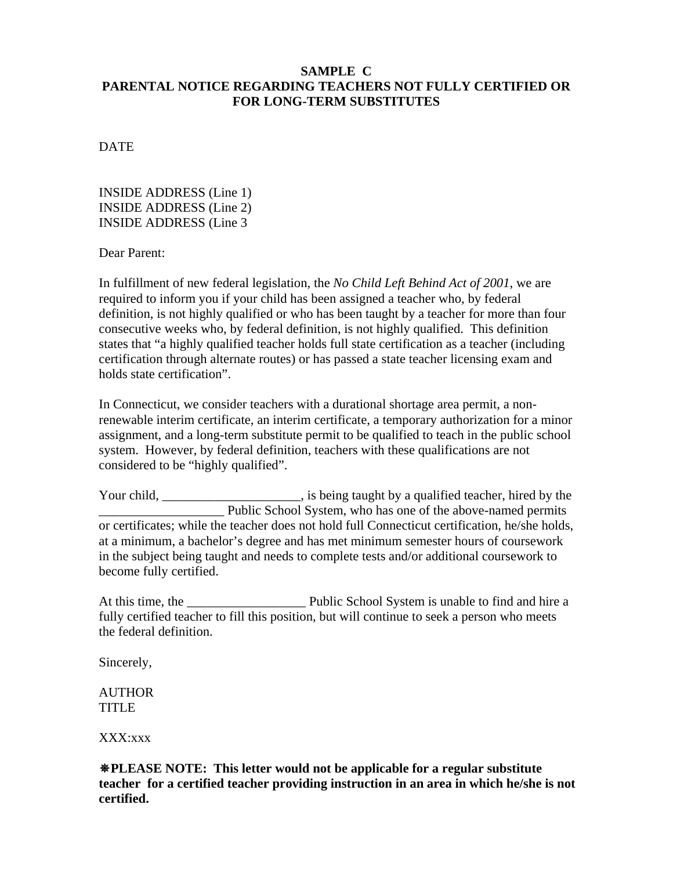#### **SAMPLE C PARENTAL NOTICE REGARDING TEACHERS NOT FULLY CERTIFIED OR FOR LONG-TERM SUBSTITUTES**

DATE

INSIDE ADDRESS (Line 1) INSIDE ADDRESS (Line 2) INSIDE ADDRESS (Line 3

Dear Parent:

In fulfillment of new federal legislation, the *No Child Left Behind Act of 2001*, we are required to inform you if your child has been assigned a teacher who, by federal definition, is not highly qualified or who has been taught by a teacher for more than four consecutive weeks who, by federal definition, is not highly qualified. This definition states that "a highly qualified teacher holds full state certification as a teacher (including certification through alternate routes) or has passed a state teacher licensing exam and holds state certification".

In Connecticut, we consider teachers with a durational shortage area permit, a nonrenewable interim certificate, an interim certificate, a temporary authorization for a minor assignment, and a long-term substitute permit to be qualified to teach in the public school system. However, by federal definition, teachers with these qualifications are not considered to be "highly qualified".

Your child, \_\_\_\_\_\_\_\_\_\_\_\_\_\_\_\_\_\_\_\_, is being taught by a qualified teacher, hired by the Public School System, who has one of the above-named permits or certificates; while the teacher does not hold full Connecticut certification, he/she holds, at a minimum, a bachelor's degree and has met minimum semester hours of coursework in the subject being taught and needs to complete tests and/or additional coursework to become fully certified.

At this time, the **Net all the Europe School System** is unable to find and hire a fully certified teacher to fill this position, but will continue to seek a person who meets the federal definition.

Sincerely,

AUTHOR TITLE

XXX:xxx

**PLEASE NOTE: This letter would not be applicable for a regular substitute teacher for a certified teacher providing instruction in an area in which he/she is not certified.**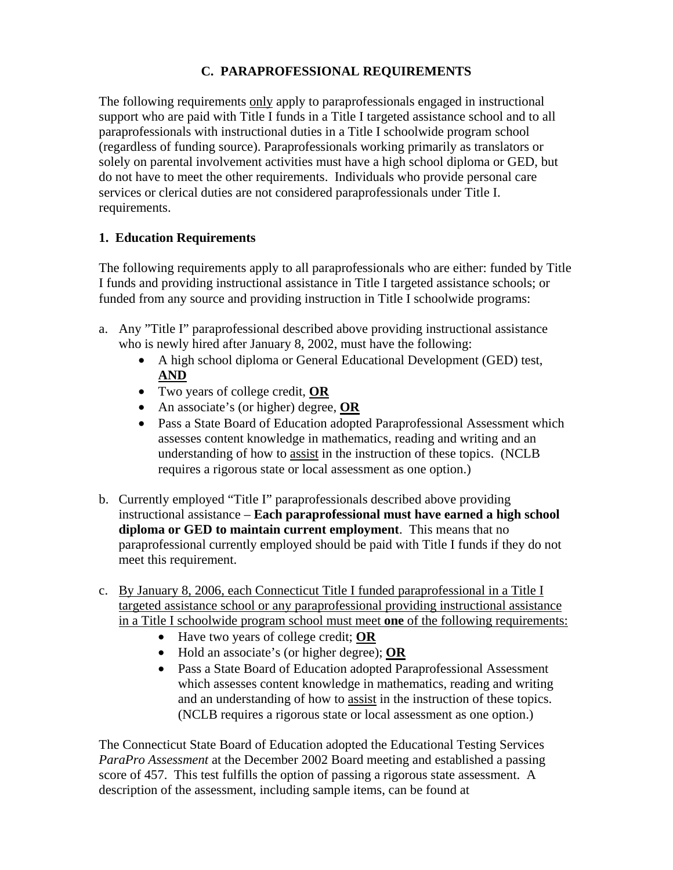# **C. PARAPROFESSIONAL REQUIREMENTS**

The following requirements only apply to paraprofessionals engaged in instructional support who are paid with Title I funds in a Title I targeted assistance school and to all paraprofessionals with instructional duties in a Title I schoolwide program school (regardless of funding source). Paraprofessionals working primarily as translators or solely on parental involvement activities must have a high school diploma or GED, but do not have to meet the other requirements. Individuals who provide personal care services or clerical duties are not considered paraprofessionals under Title I. requirements.

# **1. Education Requirements**

The following requirements apply to all paraprofessionals who are either: funded by Title I funds and providing instructional assistance in Title I targeted assistance schools; or funded from any source and providing instruction in Title I schoolwide programs:

- a. Any "Title I" paraprofessional described above providing instructional assistance who is newly hired after January 8, 2002, must have the following:
	- A high school diploma or General Educational Development (GED) test, **AND**
	- Two years of college credit, **OR**
	- An associate's (or higher) degree, **OR**
	- Pass a State Board of Education adopted Paraprofessional Assessment which assesses content knowledge in mathematics, reading and writing and an understanding of how to assist in the instruction of these topics. (NCLB requires a rigorous state or local assessment as one option.)
- b. Currently employed "Title I" paraprofessionals described above providing instructional assistance – **Each paraprofessional must have earned a high school diploma or GED to maintain current employment**. This means that no paraprofessional currently employed should be paid with Title I funds if they do not meet this requirement.
- c. By January 8, 2006, each Connecticut Title I funded paraprofessional in a Title I targeted assistance school or any paraprofessional providing instructional assistance in a Title I schoolwide program school must meet **one** of the following requirements:
	- Have two years of college credit; **OR**
	- Hold an associate's (or higher degree); **OR**
	- Pass a State Board of Education adopted Paraprofessional Assessment which assesses content knowledge in mathematics, reading and writing and an understanding of how to assist in the instruction of these topics. (NCLB requires a rigorous state or local assessment as one option.)

The Connecticut State Board of Education adopted the Educational Testing Services *ParaPro Assessment* at the December 2002 Board meeting and established a passing score of 457. This test fulfills the option of passing a rigorous state assessment. A description of the assessment, including sample items, can be found at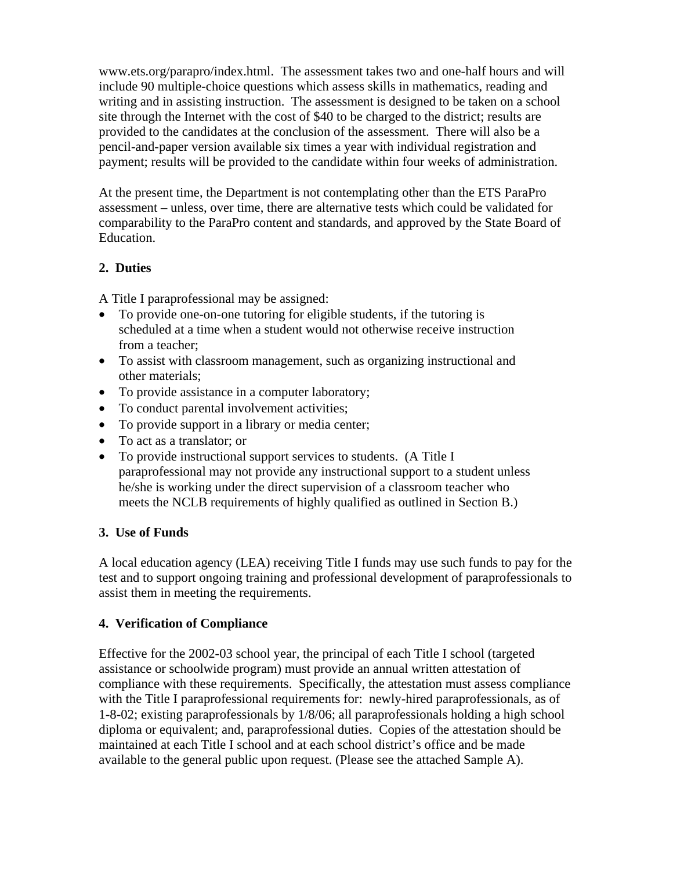www.ets.org/parapro/index.html. The assessment takes two and one-half hours and will include 90 multiple-choice questions which assess skills in mathematics, reading and writing and in assisting instruction. The assessment is designed to be taken on a school site through the Internet with the cost of \$40 to be charged to the district; results are provided to the candidates at the conclusion of the assessment. There will also be a pencil-and-paper version available six times a year with individual registration and payment; results will be provided to the candidate within four weeks of administration.

At the present time, the Department is not contemplating other than the ETS ParaPro assessment – unless, over time, there are alternative tests which could be validated for comparability to the ParaPro content and standards, and approved by the State Board of Education.

# **2. Duties**

A Title I paraprofessional may be assigned:

- To provide one-on-one tutoring for eligible students, if the tutoring is scheduled at a time when a student would not otherwise receive instruction from a teacher;
- To assist with classroom management, such as organizing instructional and other materials;
- To provide assistance in a computer laboratory;
- To conduct parental involvement activities;
- To provide support in a library or media center;
- To act as a translator; or
- To provide instructional support services to students. (A Title I paraprofessional may not provide any instructional support to a student unless he/she is working under the direct supervision of a classroom teacher who meets the NCLB requirements of highly qualified as outlined in Section B.)

## **3. Use of Funds**

A local education agency (LEA) receiving Title I funds may use such funds to pay for the test and to support ongoing training and professional development of paraprofessionals to assist them in meeting the requirements.

## **4. Verification of Compliance**

Effective for the 2002-03 school year, the principal of each Title I school (targeted assistance or schoolwide program) must provide an annual written attestation of compliance with these requirements. Specifically, the attestation must assess compliance with the Title I paraprofessional requirements for: newly-hired paraprofessionals, as of 1-8-02; existing paraprofessionals by 1/8/06; all paraprofessionals holding a high school diploma or equivalent; and, paraprofessional duties. Copies of the attestation should be maintained at each Title I school and at each school district's office and be made available to the general public upon request. (Please see the attached Sample A).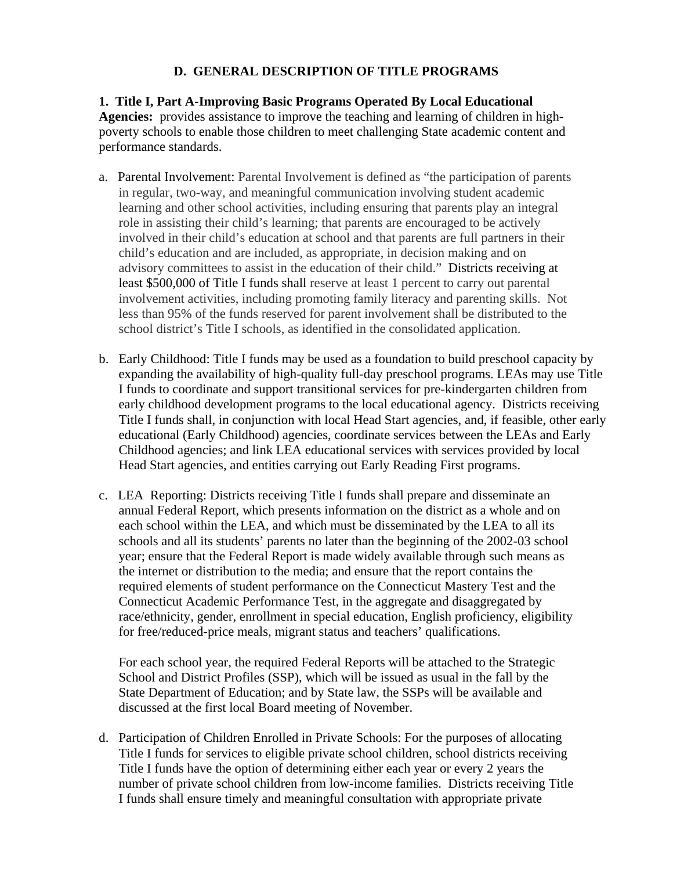# **D. GENERAL DESCRIPTION OF TITLE PROGRAMS**

#### **1. Title I, Part A-Improving Basic Programs Operated By Local Educational**

**Agencies:** provides assistance to improve the teaching and learning of children in highpoverty schools to enable those children to meet challenging State academic content and performance standards.

- a. Parental Involvement: Parental Involvement is defined as "the participation of parents in regular, two-way, and meaningful communication involving student academic learning and other school activities, including ensuring that parents play an integral role in assisting their child's learning; that parents are encouraged to be actively involved in their child's education at school and that parents are full partners in their child's education and are included, as appropriate, in decision making and on advisory committees to assist in the education of their child." Districts receiving at least \$500,000 of Title I funds shall reserve at least 1 percent to carry out parental involvement activities, including promoting family literacy and parenting skills. Not less than 95% of the funds reserved for parent involvement shall be distributed to the school district's Title I schools, as identified in the consolidated application.
- b. Early Childhood: Title I funds may be used as a foundation to build preschool capacity by expanding the availability of high-quality full-day preschool programs. LEAs may use Title I funds to coordinate and support transitional services for pre-kindergarten children from early childhood development programs to the local educational agency. Districts receiving Title I funds shall, in conjunction with local Head Start agencies, and, if feasible, other early educational (Early Childhood) agencies, coordinate services between the LEAs and Early Childhood agencies; and link LEA educational services with services provided by local Head Start agencies, and entities carrying out Early Reading First programs.
- c. LEA Reporting: Districts receiving Title I funds shall prepare and disseminate an annual Federal Report, which presents information on the district as a whole and on each school within the LEA, and which must be disseminated by the LEA to all its schools and all its students' parents no later than the beginning of the 2002-03 school year; ensure that the Federal Report is made widely available through such means as the internet or distribution to the media; and ensure that the report contains the required elements of student performance on the Connecticut Mastery Test and the Connecticut Academic Performance Test, in the aggregate and disaggregated by race/ethnicity, gender, enrollment in special education, English proficiency, eligibility for free/reduced-price meals, migrant status and teachers' qualifications.

For each school year, the required Federal Reports will be attached to the Strategic School and District Profiles (SSP), which will be issued as usual in the fall by the State Department of Education; and by State law, the SSPs will be available and discussed at the first local Board meeting of November.

d. Participation of Children Enrolled in Private Schools: For the purposes of allocating Title I funds for services to eligible private school children, school districts receiving Title I funds have the option of determining either each year or every 2 years the number of private school children from low-income families. Districts receiving Title I funds shall ensure timely and meaningful consultation with appropriate private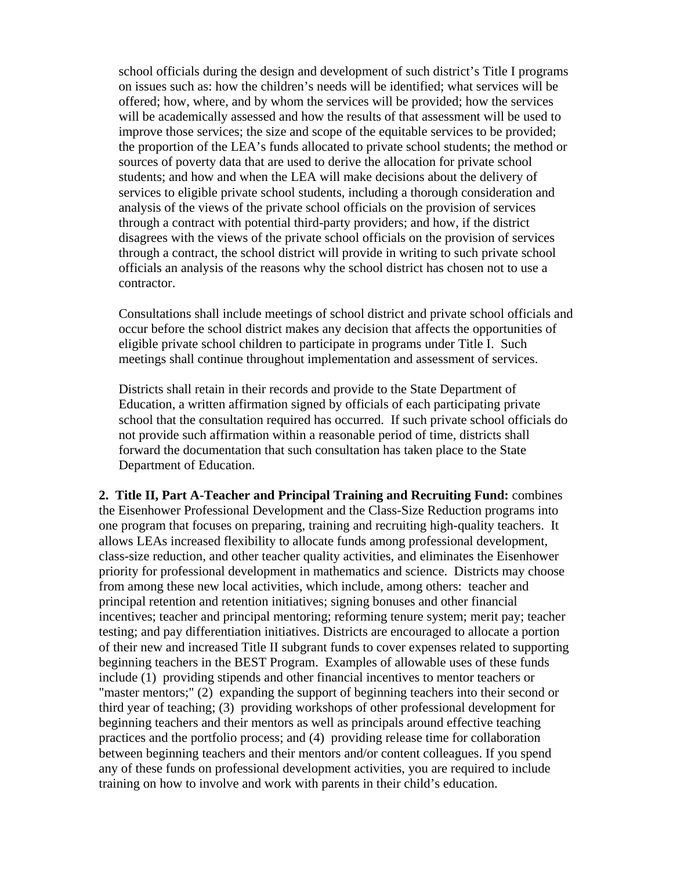school officials during the design and development of such district's Title I programs on issues such as: how the children's needs will be identified; what services will be offered; how, where, and by whom the services will be provided; how the services will be academically assessed and how the results of that assessment will be used to improve those services; the size and scope of the equitable services to be provided; the proportion of the LEA's funds allocated to private school students; the method or sources of poverty data that are used to derive the allocation for private school students; and how and when the LEA will make decisions about the delivery of services to eligible private school students, including a thorough consideration and analysis of the views of the private school officials on the provision of services through a contract with potential third-party providers; and how, if the district disagrees with the views of the private school officials on the provision of services through a contract, the school district will provide in writing to such private school officials an analysis of the reasons why the school district has chosen not to use a contractor.

Consultations shall include meetings of school district and private school officials and occur before the school district makes any decision that affects the opportunities of eligible private school children to participate in programs under Title I. Such meetings shall continue throughout implementation and assessment of services.

Districts shall retain in their records and provide to the State Department of Education, a written affirmation signed by officials of each participating private school that the consultation required has occurred. If such private school officials do not provide such affirmation within a reasonable period of time, districts shall forward the documentation that such consultation has taken place to the State Department of Education.

**2. Title II, Part A-Teacher and Principal Training and Recruiting Fund:** combines the Eisenhower Professional Development and the Class-Size Reduction programs into one program that focuses on preparing, training and recruiting high-quality teachers. It allows LEAs increased flexibility to allocate funds among professional development, class-size reduction, and other teacher quality activities, and eliminates the Eisenhower priority for professional development in mathematics and science. Districts may choose from among these new local activities, which include, among others: teacher and principal retention and retention initiatives; signing bonuses and other financial incentives; teacher and principal mentoring; reforming tenure system; merit pay; teacher testing; and pay differentiation initiatives. Districts are encouraged to allocate a portion of their new and increased Title II subgrant funds to cover expenses related to supporting beginning teachers in the BEST Program. Examples of allowable uses of these funds include (1) providing stipends and other financial incentives to mentor teachers or "master mentors;" (2) expanding the support of beginning teachers into their second or third year of teaching; (3) providing workshops of other professional development for beginning teachers and their mentors as well as principals around effective teaching practices and the portfolio process; and (4) providing release time for collaboration between beginning teachers and their mentors and/or content colleagues. If you spend any of these funds on professional development activities, you are required to include training on how to involve and work with parents in their child's education.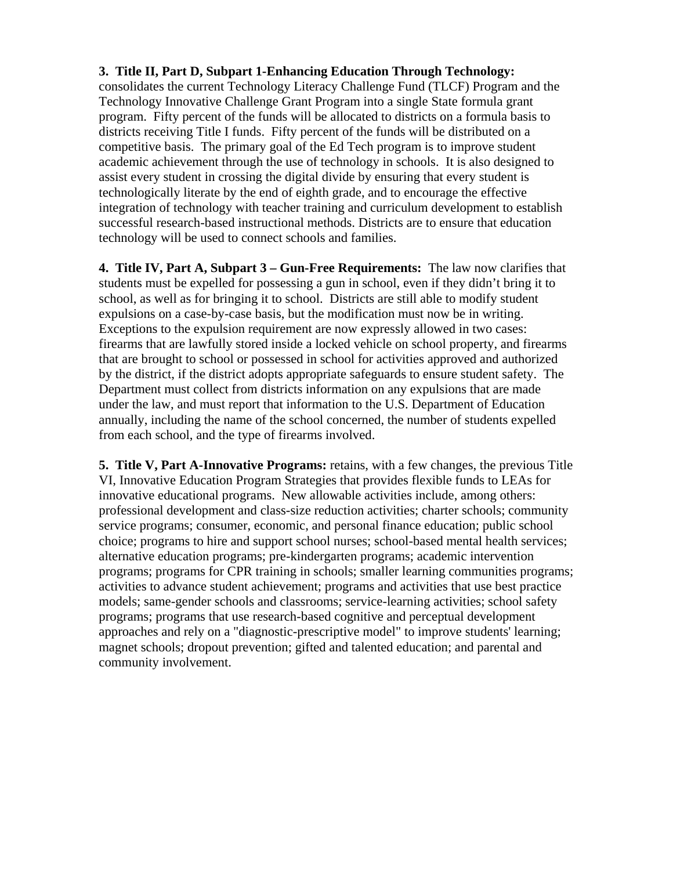#### **3. Title II, Part D, Subpart 1-Enhancing Education Through Technology:**

consolidates the current Technology Literacy Challenge Fund (TLCF) Program and the Technology Innovative Challenge Grant Program into a single State formula grant program. Fifty percent of the funds will be allocated to districts on a formula basis to districts receiving Title I funds. Fifty percent of the funds will be distributed on a competitive basis. The primary goal of the Ed Tech program is to improve student academic achievement through the use of technology in schools. It is also designed to assist every student in crossing the digital divide by ensuring that every student is technologically literate by the end of eighth grade, and to encourage the effective integration of technology with teacher training and curriculum development to establish successful research-based instructional methods. Districts are to ensure that education technology will be used to connect schools and families.

**4. Title IV, Part A, Subpart 3 – Gun-Free Requirements:** The law now clarifies that students must be expelled for possessing a gun in school, even if they didn't bring it to school, as well as for bringing it to school. Districts are still able to modify student expulsions on a case-by-case basis, but the modification must now be in writing. Exceptions to the expulsion requirement are now expressly allowed in two cases: firearms that are lawfully stored inside a locked vehicle on school property, and firearms that are brought to school or possessed in school for activities approved and authorized by the district, if the district adopts appropriate safeguards to ensure student safety. The Department must collect from districts information on any expulsions that are made under the law, and must report that information to the U.S. Department of Education annually, including the name of the school concerned, the number of students expelled from each school, and the type of firearms involved.

**5. Title V, Part A-Innovative Programs:** retains, with a few changes, the previous Title VI, Innovative Education Program Strategies that provides flexible funds to LEAs for innovative educational programs.New allowable activities include, among others: professional development and class-size reduction activities; charter schools; community service programs; consumer, economic, and personal finance education; public school choice; programs to hire and support school nurses; school-based mental health services; alternative education programs; pre-kindergarten programs; academic intervention programs; programs for CPR training in schools; smaller learning communities programs; activities to advance student achievement; programs and activities that use best practice models; same-gender schools and classrooms; service-learning activities; school safety programs; programs that use research-based cognitive and perceptual development approaches and rely on a "diagnostic-prescriptive model" to improve students' learning; magnet schools; dropout prevention; gifted and talented education; and parental and community involvement.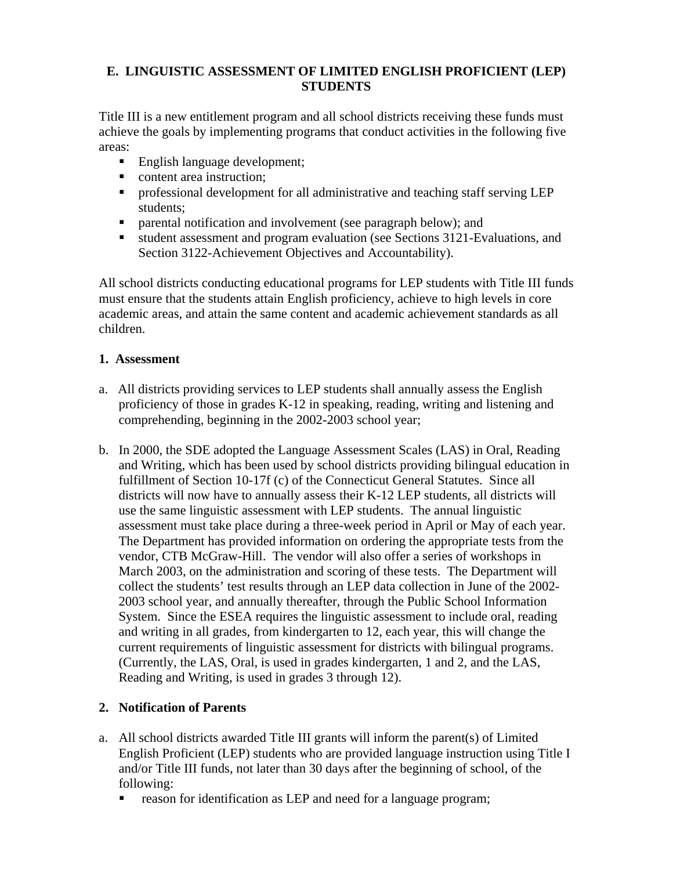## **E. LINGUISTIC ASSESSMENT OF LIMITED ENGLISH PROFICIENT (LEP) STUDENTS**

Title III is a new entitlement program and all school districts receiving these funds must achieve the goals by implementing programs that conduct activities in the following five areas:

- English language development;
- content area instruction;
- **•** professional development for all administrative and teaching staff serving LEP students;
- **Permital notification and involvement (see paragraph below); and**
- student assessment and program evaluation (see Sections 3121-Evaluations, and Section 3122-Achievement Objectives and Accountability).

All school districts conducting educational programs for LEP students with Title III funds must ensure that the students attain English proficiency, achieve to high levels in core academic areas, and attain the same content and academic achievement standards as all children.

#### **1. Assessment**

- a. All districts providing services to LEP students shall annually assess the English proficiency of those in grades K-12 in speaking, reading, writing and listening and comprehending, beginning in the 2002-2003 school year;
- b. In 2000, the SDE adopted the Language Assessment Scales (LAS) in Oral, Reading and Writing, which has been used by school districts providing bilingual education in fulfillment of Section 10-17f (c) of the Connecticut General Statutes. Since all districts will now have to annually assess their K-12 LEP students, all districts will use the same linguistic assessment with LEP students. The annual linguistic assessment must take place during a three-week period in April or May of each year. The Department has provided information on ordering the appropriate tests from the vendor, CTB McGraw-Hill. The vendor will also offer a series of workshops in March 2003, on the administration and scoring of these tests. The Department will collect the students' test results through an LEP data collection in June of the 2002- 2003 school year, and annually thereafter, through the Public School Information System. Since the ESEA requires the linguistic assessment to include oral, reading and writing in all grades, from kindergarten to 12, each year, this will change the current requirements of linguistic assessment for districts with bilingual programs. (Currently, the LAS, Oral, is used in grades kindergarten, 1 and 2, and the LAS, Reading and Writing, is used in grades 3 through 12).

## **2. Notification of Parents**

- a. All school districts awarded Title III grants will inform the parent(s) of Limited English Proficient (LEP) students who are provided language instruction using Title I and/or Title III funds, not later than 30 days after the beginning of school, of the following:
	- **reason for identification as LEP and need for a language program;**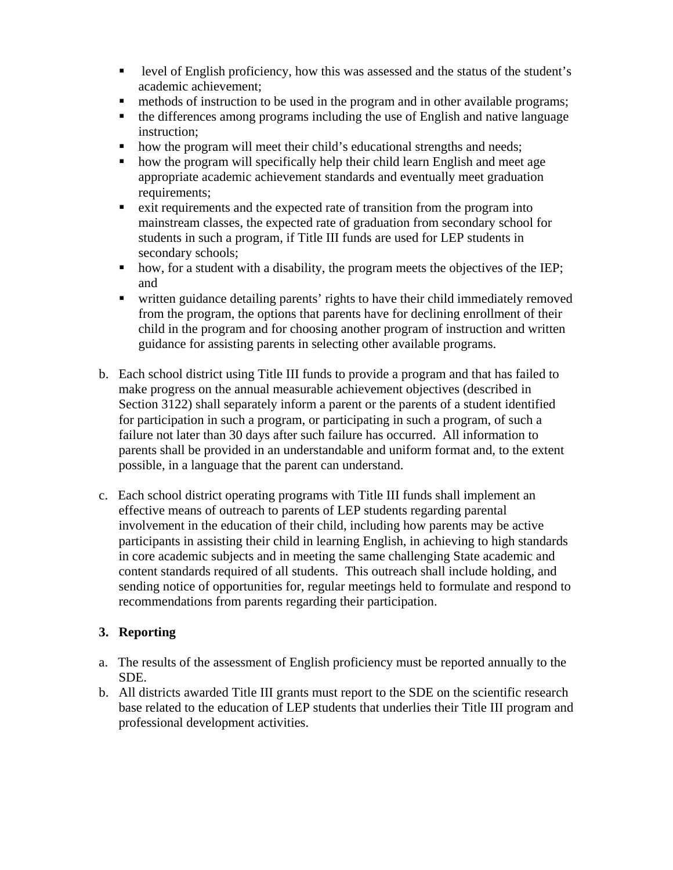- level of English proficiency, how this was assessed and the status of the student's academic achievement;
- methods of instruction to be used in the program and in other available programs;
- the differences among programs including the use of English and native language instruction;
- how the program will meet their child's educational strengths and needs;
- how the program will specifically help their child learn English and meet age appropriate academic achievement standards and eventually meet graduation requirements;
- exit requirements and the expected rate of transition from the program into mainstream classes, the expected rate of graduation from secondary school for students in such a program, if Title III funds are used for LEP students in secondary schools;
- how, for a student with a disability, the program meets the objectives of the IEP; and
- written guidance detailing parents' rights to have their child immediately removed from the program, the options that parents have for declining enrollment of their child in the program and for choosing another program of instruction and written guidance for assisting parents in selecting other available programs.
- b. Each school district using Title III funds to provide a program and that has failed to make progress on the annual measurable achievement objectives (described in Section 3122) shall separately inform a parent or the parents of a student identified for participation in such a program, or participating in such a program, of such a failure not later than 30 days after such failure has occurred. All information to parents shall be provided in an understandable and uniform format and, to the extent possible, in a language that the parent can understand.
- c. Each school district operating programs with Title III funds shall implement an effective means of outreach to parents of LEP students regarding parental involvement in the education of their child, including how parents may be active participants in assisting their child in learning English, in achieving to high standards in core academic subjects and in meeting the same challenging State academic and content standards required of all students. This outreach shall include holding, and sending notice of opportunities for, regular meetings held to formulate and respond to recommendations from parents regarding their participation.

## **3. Reporting**

- a. The results of the assessment of English proficiency must be reported annually to the SDE.
- b. All districts awarded Title III grants must report to the SDE on the scientific research base related to the education of LEP students that underlies their Title III program and professional development activities.